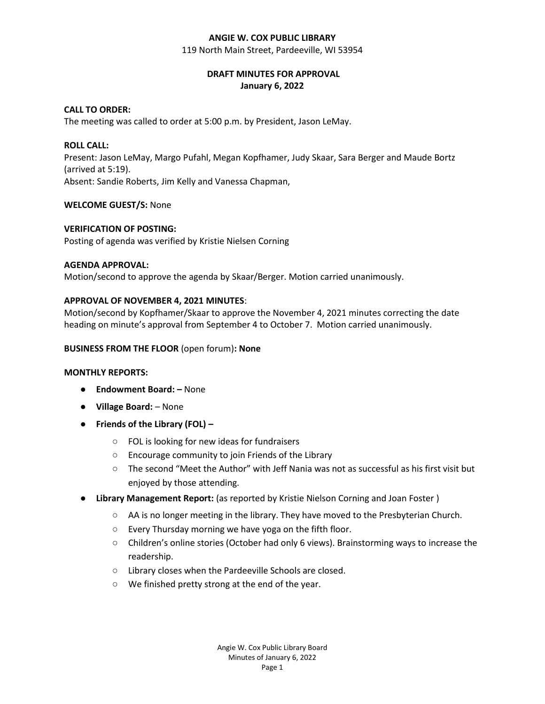#### **ANGIE W. COX PUBLIC LIBRARY**

119 North Main Street, Pardeeville, WI 53954

# **DRAFT MINUTES FOR APPROVAL January 6, 2022**

# **CALL TO ORDER:**

The meeting was called to order at 5:00 p.m. by President, Jason LeMay.

### **ROLL CALL:**

Present: Jason LeMay, Margo Pufahl, Megan Kopfhamer, Judy Skaar, Sara Berger and Maude Bortz (arrived at 5:19).

Absent: Sandie Roberts, Jim Kelly and Vanessa Chapman,

## **WELCOME GUEST/S:** None

### **VERIFICATION OF POSTING:**

Posting of agenda was verified by Kristie Nielsen Corning

### **AGENDA APPROVAL:**

Motion/second to approve the agenda by Skaar/Berger. Motion carried unanimously.

### **APPROVAL OF NOVEMBER 4, 2021 MINUTES**:

Motion/second by Kopfhamer/Skaar to approve the November 4, 2021 minutes correcting the date heading on minute's approval from September 4 to October 7. Motion carried unanimously.

#### **BUSINESS FROM THE FLOOR** (open forum)**: None**

#### **MONTHLY REPORTS:**

- **Endowment Board: –** None
- **Village Board:** None
- **Friends of the Library (FOL) –**
	- FOL is looking for new ideas for fundraisers
	- Encourage community to join Friends of the Library
	- $\circ$  The second "Meet the Author" with Jeff Nania was not as successful as his first visit but enjoyed by those attending.
- **Library Management Report:** (as reported by Kristie Nielson Corning and Joan Foster)
	- AA is no longer meeting in the library. They have moved to the Presbyterian Church.
	- Every Thursday morning we have yoga on the fifth floor.
	- Children's online stories (October had only 6 views). Brainstorming ways to increase the readership.
	- Library closes when the Pardeeville Schools are closed.
	- We finished pretty strong at the end of the year.